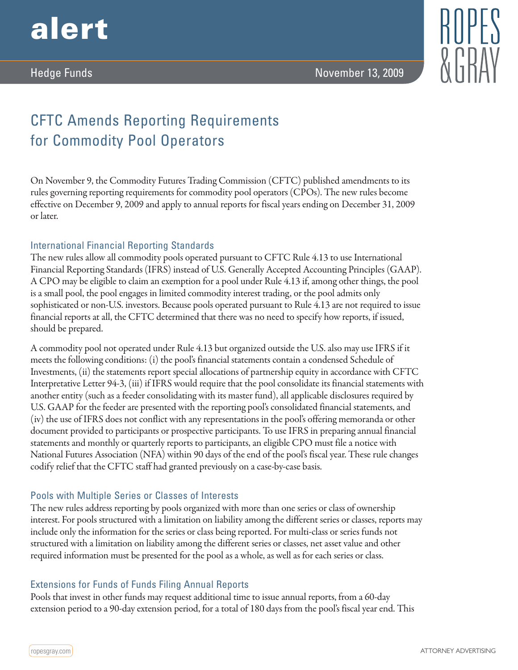



# CFTC Amends Reporting Requirements for Commodity Pool Operators

On November 9, the Commodity Futures Trading Commission (CFTC) published amendments to its rules governing reporting requirements for commodity pool operators (CPOs). The new rules become effective on December 9, 2009 and apply to annual reports for fiscal years ending on December 31, 2009 or later.

## International Financial Reporting Standards

The new rules allow all commodity pools operated pursuant to CFTC Rule 4.13 to use International Financial Reporting Standards (IFRS) instead of U.S. Generally Accepted Accounting Principles (GAAP). A CPO may be eligible to claim an exemption for a pool under Rule 4.13 if, among other things, the pool is a small pool, the pool engages in limited commodity interest trading, or the pool admits only sophisticated or non-U.S. investors. Because pools operated pursuant to Rule 4.13 are not required to issue financial reports at all, the CFTC determined that there was no need to specify how reports, if issued, should be prepared.

A commodity pool not operated under Rule 4.13 but organized outside the U.S. also may use IFRS if it meets the following conditions: (i) the pool's financial statements contain a condensed Schedule of Investments, (ii) the statements report special allocations of partnership equity in accordance with CFTC Interpretative Letter 94-3, (iii) if IFRS would require that the pool consolidate its financial statements with another entity (such as a feeder consolidating with its master fund), all applicable disclosures required by U.S. GAAP for the feeder are presented with the reporting pool's consolidated financial statements, and (iv) the use of IFRS does not conflict with any representations in the pool's offering memoranda or other document provided to participants or prospective participants. To use IFRS in preparing annual financial statements and monthly or quarterly reports to participants, an eligible CPO must file a notice with National Futures Association (NFA) within 90 days of the end of the pool's fiscal year. These rule changes codify relief that the CFTC staff had granted previously on a case-by-case basis.

## Pools with Multiple Series or Classes of Interests

The new rules address reporting by pools organized with more than one series or class of ownership interest. For pools structured with a limitation on liability among the different series or classes, reports may include only the information for the series or class being reported. For multi-class or series funds not structured with a limitation on liability among the different series or classes, net asset value and other required information must be presented for the pool as a whole, as well as for each series or class.

## Extensions for Funds of Funds Filing Annual Reports

Pools that invest in other funds may request additional time to issue annual reports, from a 60-day extension period to a 90-day extension period, for a total of 180 days from the pool's fiscal year end. This